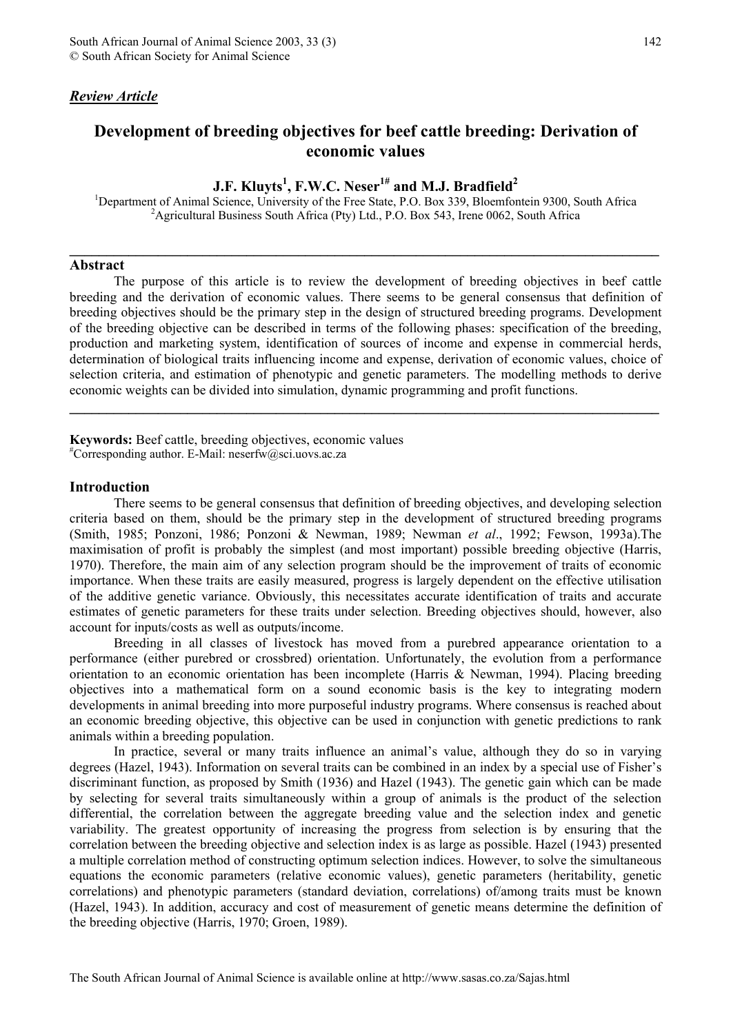## *Review Article*

# **Development of breeding objectives for beef cattle breeding: Derivation of economic values**

## **J.F. Kluyts<sup>1</sup> , F.W.C. Neser1# and M.J. Bradfield2**

<sup>1</sup>Department of Animal Science, University of the Free State, P.O. Box 339, Bloemfontein 9300, South Africa  $\frac{2}{3}$  arisellarel Business South Africa (Bti) Ltd., B.O. Box 543, Irang 0063, South Africa <sup>2</sup>Agricultural Business South Africa (Pty) Ltd., P.O. Box 543, Irene 0062, South Africa

**\_\_\_\_\_\_\_\_\_\_\_\_\_\_\_\_\_\_\_\_\_\_\_\_\_\_\_\_\_\_\_\_\_\_\_\_\_\_\_\_\_\_\_\_\_\_\_\_\_\_\_\_\_\_\_\_\_\_\_\_\_\_\_\_\_\_\_\_\_\_\_\_\_\_\_\_\_\_\_\_** 

## **Abstract**

The purpose of this article is to review the development of breeding objectives in beef cattle breeding and the derivation of economic values. There seems to be general consensus that definition of breeding objectives should be the primary step in the design of structured breeding programs. Development of the breeding objective can be described in terms of the following phases: specification of the breeding, production and marketing system, identification of sources of income and expense in commercial herds, determination of biological traits influencing income and expense, derivation of economic values, choice of selection criteria, and estimation of phenotypic and genetic parameters. The modelling methods to derive economic weights can be divided into simulation, dynamic programming and profit functions.

 $\mathcal{L} = \{ \mathcal{L} \mathcal{L} \mathcal{L} \mathcal{L} \mathcal{L} \mathcal{L} \mathcal{L} \mathcal{L} \mathcal{L} \mathcal{L} \mathcal{L} \mathcal{L} \mathcal{L} \mathcal{L} \mathcal{L} \mathcal{L} \mathcal{L} \mathcal{L} \mathcal{L} \mathcal{L} \mathcal{L} \mathcal{L} \mathcal{L} \mathcal{L} \mathcal{L} \mathcal{L} \mathcal{L} \mathcal{L} \mathcal{L} \mathcal{L} \mathcal{L} \mathcal{L} \mathcal{L} \mathcal{L} \mathcal{L} \$ 

Keywords: Beef cattle, breeding objectives, economic values  ${}^{\#}$ Corresponding author. E-Mail: neserfw@sci.uovs.ac.za

#### **Introduction**

There seems to be general consensus that definition of breeding objectives, and developing selection criteria based on them, should be the primary step in the development of structured breeding programs (Smith, 1985; Ponzoni, 1986; Ponzoni & Newman, 1989; Newman *et al*., 1992; Fewson, 1993a).The maximisation of profit is probably the simplest (and most important) possible breeding objective (Harris, 1970). Therefore, the main aim of any selection program should be the improvement of traits of economic importance. When these traits are easily measured, progress is largely dependent on the effective utilisation of the additive genetic variance. Obviously, this necessitates accurate identification of traits and accurate estimates of genetic parameters for these traits under selection. Breeding objectives should, however, also account for inputs/costs as well as outputs/income.

Breeding in all classes of livestock has moved from a purebred appearance orientation to a performance (either purebred or crossbred) orientation. Unfortunately, the evolution from a performance orientation to an economic orientation has been incomplete (Harris & Newman, 1994). Placing breeding objectives into a mathematical form on a sound economic basis is the key to integrating modern developments in animal breeding into more purposeful industry programs. Where consensus is reached about an economic breeding objective, this objective can be used in conjunction with genetic predictions to rank animals within a breeding population.

In practice, several or many traits influence an animal's value, although they do so in varying degrees (Hazel, 1943). Information on several traits can be combined in an index by a special use of Fisher's discriminant function, as proposed by Smith (1936) and Hazel (1943). The genetic gain which can be made by selecting for several traits simultaneously within a group of animals is the product of the selection differential, the correlation between the aggregate breeding value and the selection index and genetic variability. The greatest opportunity of increasing the progress from selection is by ensuring that the correlation between the breeding objective and selection index is as large as possible. Hazel (1943) presented a multiple correlation method of constructing optimum selection indices. However, to solve the simultaneous equations the economic parameters (relative economic values), genetic parameters (heritability, genetic correlations) and phenotypic parameters (standard deviation, correlations) of/among traits must be known (Hazel, 1943). In addition, accuracy and cost of measurement of genetic means determine the definition of the breeding objective (Harris, 1970; Groen, 1989).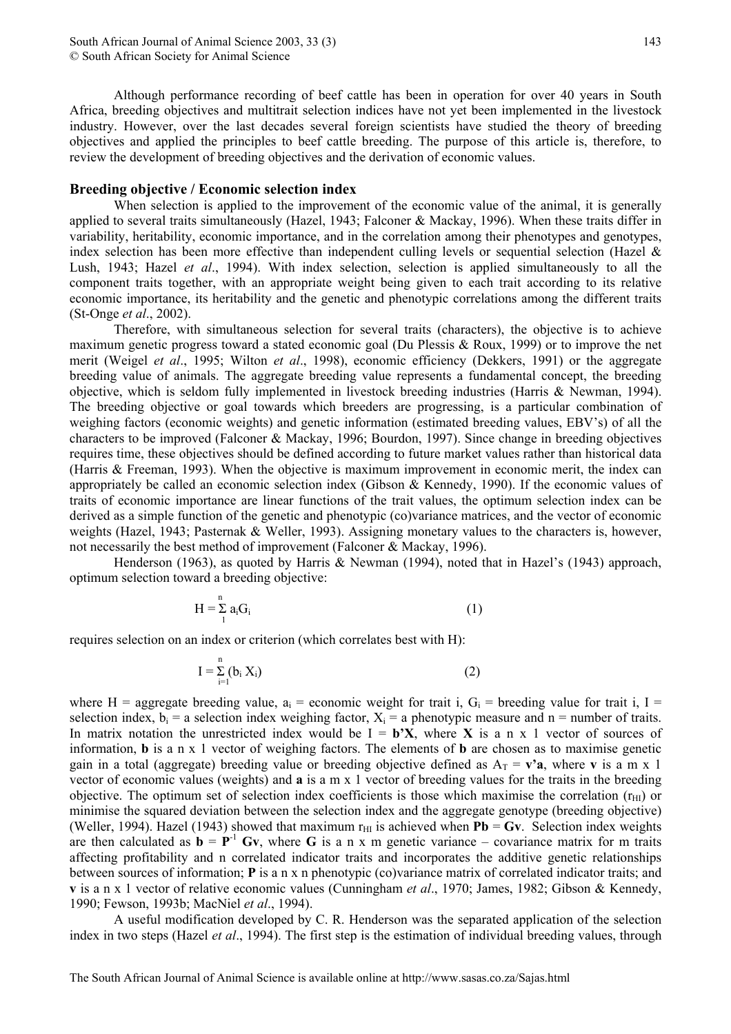Although performance recording of beef cattle has been in operation for over 40 years in South Africa, breeding objectives and multitrait selection indices have not yet been implemented in the livestock industry. However, over the last decades several foreign scientists have studied the theory of breeding objectives and applied the principles to beef cattle breeding. The purpose of this article is, therefore, to review the development of breeding objectives and the derivation of economic values.

#### **Breeding objective / Economic selection index**

When selection is applied to the improvement of the economic value of the animal, it is generally applied to several traits simultaneously (Hazel, 1943; Falconer & Mackay, 1996). When these traits differ in variability, heritability, economic importance, and in the correlation among their phenotypes and genotypes, index selection has been more effective than independent culling levels or sequential selection (Hazel  $\&$ Lush, 1943; Hazel *et al*., 1994). With index selection, selection is applied simultaneously to all the component traits together, with an appropriate weight being given to each trait according to its relative economic importance, its heritability and the genetic and phenotypic correlations among the different traits (St-Onge *et al*., 2002).

Therefore, with simultaneous selection for several traits (characters), the objective is to achieve maximum genetic progress toward a stated economic goal (Du Plessis & Roux, 1999) or to improve the net merit (Weigel *et al*., 1995; Wilton *et al*., 1998), economic efficiency (Dekkers, 1991) or the aggregate breeding value of animals. The aggregate breeding value represents a fundamental concept, the breeding objective, which is seldom fully implemented in livestock breeding industries (Harris & Newman, 1994). The breeding objective or goal towards which breeders are progressing, is a particular combination of weighing factors (economic weights) and genetic information (estimated breeding values, EBV's) of all the characters to be improved (Falconer & Mackay, 1996; Bourdon, 1997). Since change in breeding objectives requires time, these objectives should be defined according to future market values rather than historical data (Harris & Freeman, 1993). When the objective is maximum improvement in economic merit, the index can appropriately be called an economic selection index (Gibson & Kennedy, 1990). If the economic values of traits of economic importance are linear functions of the trait values, the optimum selection index can be derived as a simple function of the genetic and phenotypic (co)variance matrices, and the vector of economic weights (Hazel, 1943; Pasternak & Weller, 1993). Assigning monetary values to the characters is, however, not necessarily the best method of improvement (Falconer & Mackay, 1996).

Henderson (1963), as quoted by Harris & Newman (1994), noted that in Hazel's (1943) approach, optimum selection toward a breeding objective:

$$
H = \sum_{1}^{n} a_i G_i
$$
 (1)

requires selection on an index or criterion (which correlates best with H):

$$
I = \sum_{i=1}^{n} (b_i X_i)
$$
 (2)

where H = aggregate breeding value,  $a_i$  = economic weight for trait i,  $G_i$  = breeding value for trait i, I = selection index,  $b_i$  = a selection index weighing factor,  $X_i$  = a phenotypic measure and n = number of traits. In matrix notation the unrestricted index would be  $I = \mathbf{b}^{\prime} \mathbf{X}$ , where **X** is a n x 1 vector of sources of information, **b** is a n x 1 vector of weighing factors. The elements of **b** are chosen as to maximise genetic gain in a total (aggregate) breeding value or breeding objective defined as  $A_T = v'a$ , where v is a m x 1 vector of economic values (weights) and **a** is a m x 1 vector of breeding values for the traits in the breeding objective. The optimum set of selection index coefficients is those which maximise the correlation  $(r_H)$  or minimise the squared deviation between the selection index and the aggregate genotype (breeding objective) (Weller, 1994). Hazel (1943) showed that maximum  $r<sub>HI</sub>$  is achieved when **Pb** = **Gv**. Selection index weights are then calculated as  $\mathbf{b} = \mathbf{P}^{-1}$  **Gv**, where **G** is a n x m genetic variance – covariance matrix for m traits affecting profitability and n correlated indicator traits and incorporates the additive genetic relationships between sources of information; **P** is a n x n phenotypic (co)variance matrix of correlated indicator traits; and **v** is a n x 1 vector of relative economic values (Cunningham *et al*., 1970; James, 1982; Gibson & Kennedy, 1990; Fewson, 1993b; MacNiel *et al*., 1994).

A useful modification developed by C. R. Henderson was the separated application of the selection index in two steps (Hazel *et al*., 1994). The first step is the estimation of individual breeding values, through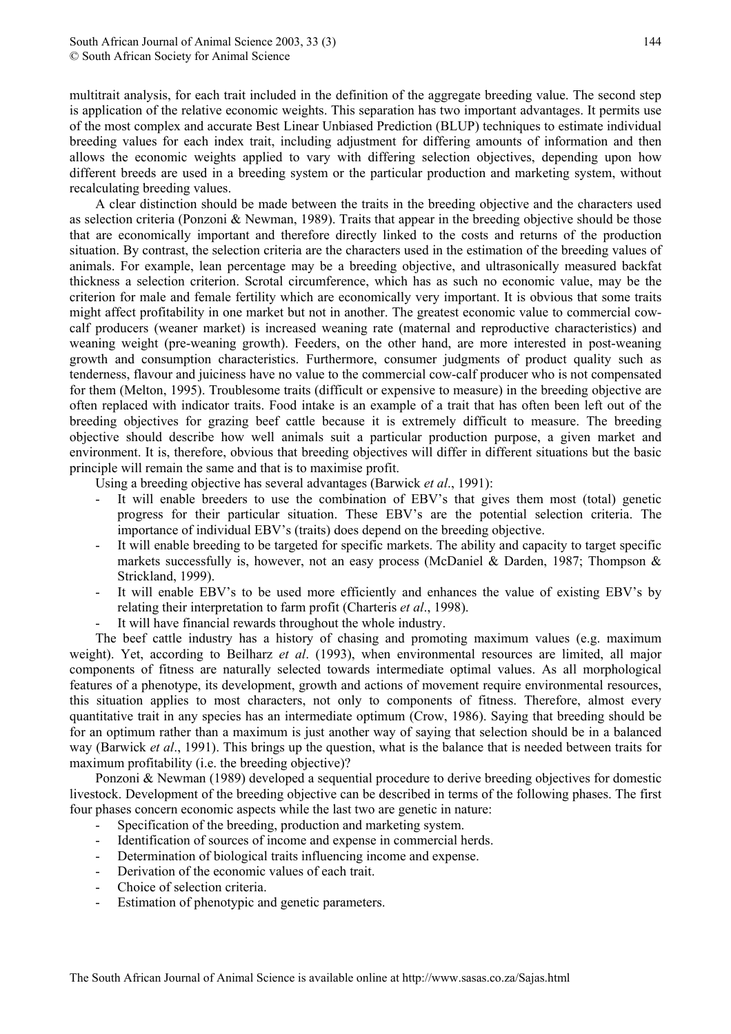multitrait analysis, for each trait included in the definition of the aggregate breeding value. The second step is application of the relative economic weights. This separation has two important advantages. It permits use of the most complex and accurate Best Linear Unbiased Prediction (BLUP) techniques to estimate individual breeding values for each index trait, including adjustment for differing amounts of information and then allows the economic weights applied to vary with differing selection objectives, depending upon how different breeds are used in a breeding system or the particular production and marketing system, without recalculating breeding values.

A clear distinction should be made between the traits in the breeding objective and the characters used as selection criteria (Ponzoni & Newman, 1989). Traits that appear in the breeding objective should be those that are economically important and therefore directly linked to the costs and returns of the production situation. By contrast, the selection criteria are the characters used in the estimation of the breeding values of animals. For example, lean percentage may be a breeding objective, and ultrasonically measured backfat thickness a selection criterion. Scrotal circumference, which has as such no economic value, may be the criterion for male and female fertility which are economically very important. It is obvious that some traits might affect profitability in one market but not in another. The greatest economic value to commercial cowcalf producers (weaner market) is increased weaning rate (maternal and reproductive characteristics) and weaning weight (pre-weaning growth). Feeders, on the other hand, are more interested in post-weaning growth and consumption characteristics. Furthermore, consumer judgments of product quality such as tenderness, flavour and juiciness have no value to the commercial cow-calf producer who is not compensated for them (Melton, 1995). Troublesome traits (difficult or expensive to measure) in the breeding objective are often replaced with indicator traits. Food intake is an example of a trait that has often been left out of the breeding objectives for grazing beef cattle because it is extremely difficult to measure. The breeding objective should describe how well animals suit a particular production purpose, a given market and environment. It is, therefore, obvious that breeding objectives will differ in different situations but the basic principle will remain the same and that is to maximise profit.

Using a breeding objective has several advantages (Barwick *et al*., 1991):

- It will enable breeders to use the combination of EBV's that gives them most (total) genetic progress for their particular situation. These EBV's are the potential selection criteria. The importance of individual EBV's (traits) does depend on the breeding objective.
- It will enable breeding to be targeted for specific markets. The ability and capacity to target specific markets successfully is, however, not an easy process (McDaniel & Darden, 1987; Thompson  $\&$ Strickland, 1999).
- It will enable EBV's to be used more efficiently and enhances the value of existing EBV's by relating their interpretation to farm profit (Charteris *et al*., 1998).
- It will have financial rewards throughout the whole industry.

The beef cattle industry has a history of chasing and promoting maximum values (e.g. maximum weight). Yet, according to Beilharz *et al*. (1993), when environmental resources are limited, all major components of fitness are naturally selected towards intermediate optimal values. As all morphological features of a phenotype, its development, growth and actions of movement require environmental resources, this situation applies to most characters, not only to components of fitness. Therefore, almost every quantitative trait in any species has an intermediate optimum (Crow, 1986). Saying that breeding should be for an optimum rather than a maximum is just another way of saying that selection should be in a balanced way (Barwick *et al*., 1991). This brings up the question, what is the balance that is needed between traits for maximum profitability (i.e. the breeding objective)?

Ponzoni & Newman (1989) developed a sequential procedure to derive breeding objectives for domestic livestock. Development of the breeding objective can be described in terms of the following phases. The first four phases concern economic aspects while the last two are genetic in nature:

- Specification of the breeding, production and marketing system.
- Identification of sources of income and expense in commercial herds.
- Determination of biological traits influencing income and expense.
- Derivation of the economic values of each trait.
- Choice of selection criteria.
- Estimation of phenotypic and genetic parameters.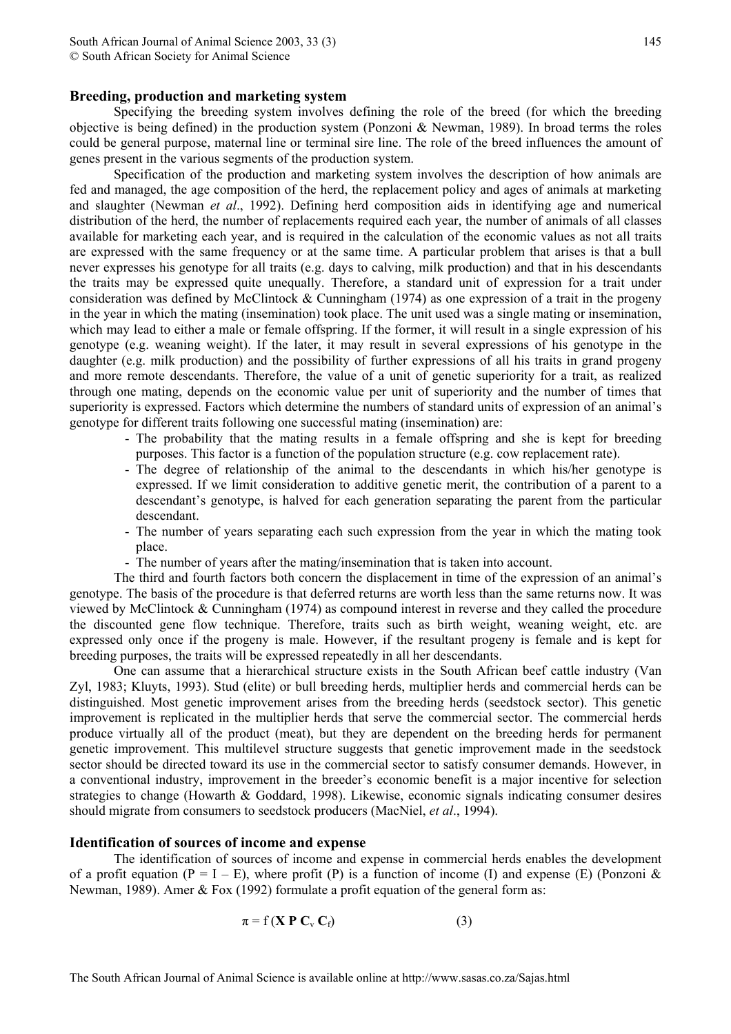#### **Breeding, production and marketing system**

Specifying the breeding system involves defining the role of the breed (for which the breeding objective is being defined) in the production system (Ponzoni & Newman, 1989). In broad terms the roles could be general purpose, maternal line or terminal sire line. The role of the breed influences the amount of genes present in the various segments of the production system.

Specification of the production and marketing system involves the description of how animals are fed and managed, the age composition of the herd, the replacement policy and ages of animals at marketing and slaughter (Newman *et al*., 1992). Defining herd composition aids in identifying age and numerical distribution of the herd, the number of replacements required each year, the number of animals of all classes available for marketing each year, and is required in the calculation of the economic values as not all traits are expressed with the same frequency or at the same time. A particular problem that arises is that a bull never expresses his genotype for all traits (e.g. days to calving, milk production) and that in his descendants the traits may be expressed quite unequally. Therefore, a standard unit of expression for a trait under consideration was defined by McClintock & Cunningham (1974) as one expression of a trait in the progeny in the year in which the mating (insemination) took place. The unit used was a single mating or insemination, which may lead to either a male or female offspring. If the former, it will result in a single expression of his genotype (e.g. weaning weight). If the later, it may result in several expressions of his genotype in the daughter (e.g. milk production) and the possibility of further expressions of all his traits in grand progeny and more remote descendants. Therefore, the value of a unit of genetic superiority for a trait, as realized through one mating, depends on the economic value per unit of superiority and the number of times that superiority is expressed. Factors which determine the numbers of standard units of expression of an animal's genotype for different traits following one successful mating (insemination) are:

- The probability that the mating results in a female offspring and she is kept for breeding purposes. This factor is a function of the population structure (e.g. cow replacement rate).
- The degree of relationship of the animal to the descendants in which his/her genotype is expressed. If we limit consideration to additive genetic merit, the contribution of a parent to a descendant's genotype, is halved for each generation separating the parent from the particular descendant.
- The number of years separating each such expression from the year in which the mating took place.
- The number of years after the mating/insemination that is taken into account.

The third and fourth factors both concern the displacement in time of the expression of an animal's genotype. The basis of the procedure is that deferred returns are worth less than the same returns now. It was viewed by McClintock & Cunningham (1974) as compound interest in reverse and they called the procedure the discounted gene flow technique. Therefore, traits such as birth weight, weaning weight, etc. are expressed only once if the progeny is male. However, if the resultant progeny is female and is kept for breeding purposes, the traits will be expressed repeatedly in all her descendants.

One can assume that a hierarchical structure exists in the South African beef cattle industry (Van Zyl, 1983; Kluyts, 1993). Stud (elite) or bull breeding herds, multiplier herds and commercial herds can be distinguished. Most genetic improvement arises from the breeding herds (seedstock sector). This genetic improvement is replicated in the multiplier herds that serve the commercial sector. The commercial herds produce virtually all of the product (meat), but they are dependent on the breeding herds for permanent genetic improvement. This multilevel structure suggests that genetic improvement made in the seedstock sector should be directed toward its use in the commercial sector to satisfy consumer demands. However, in a conventional industry, improvement in the breeder's economic benefit is a major incentive for selection strategies to change (Howarth & Goddard, 1998). Likewise, economic signals indicating consumer desires should migrate from consumers to seedstock producers (MacNiel, *et al*., 1994).

#### **Identification of sources of income and expense**

The identification of sources of income and expense in commercial herds enables the development of a profit equation (P = I – E), where profit (P) is a function of income (I) and expense (E) (Ponzoni  $\&$ Newman, 1989). Amer & Fox (1992) formulate a profit equation of the general form as:

$$
\pi = f(\mathbf{X} \mathbf{P} \mathbf{C}_v \mathbf{C}_f) \tag{3}
$$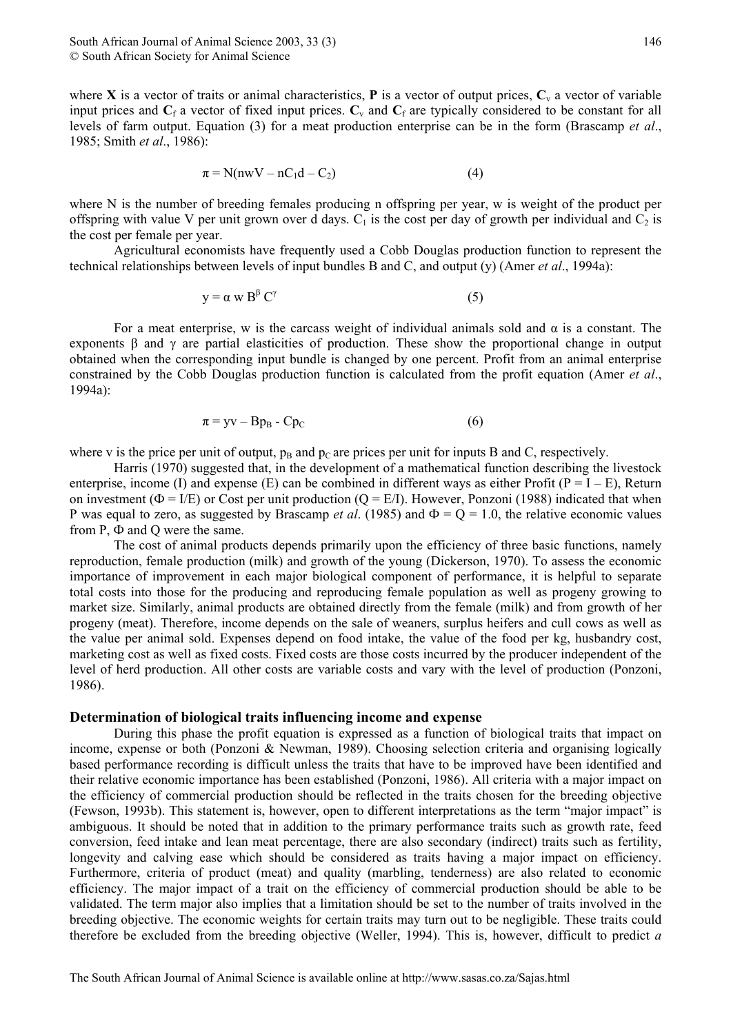where **X** is a vector of traits or animal characteristics, **P** is a vector of output prices,  $C_v$  a vector of variable input prices and  $C_f$  a vector of fixed input prices.  $C_v$  and  $C_f$  are typically considered to be constant for all levels of farm output. Equation (3) for a meat production enterprise can be in the form (Brascamp *et al*., 1985; Smith *et al*., 1986):

$$
\pi = N(nwV - nC_1d - C_2)
$$
\n(4)

where N is the number of breeding females producing n offspring per year, w is weight of the product per offspring with value V per unit grown over d days.  $C_1$  is the cost per day of growth per individual and  $C_2$  is the cost per female per year.

Agricultural economists have frequently used a Cobb Douglas production function to represent the technical relationships between levels of input bundles B and C, and output (y) (Amer *et al*., 1994a):

$$
y = \alpha w B^{\beta} C^{\gamma}
$$
 (5)

For a meat enterprise, w is the carcass weight of individual animals sold and  $\alpha$  is a constant. The exponents  $\beta$  and  $\gamma$  are partial elasticities of production. These show the proportional change in output obtained when the corresponding input bundle is changed by one percent. Profit from an animal enterprise constrained by the Cobb Douglas production function is calculated from the profit equation (Amer *et al*., 1994a):

$$
\pi = yv - Bp_B - Cp_C \tag{6}
$$

where v is the price per unit of output,  $p_B$  and  $p_C$  are prices per unit for inputs B and C, respectively.

Harris (1970) suggested that, in the development of a mathematical function describing the livestock enterprise, income (I) and expense (E) can be combined in different ways as either Profit ( $P = I - E$ ), Return on investment ( $\Phi = I/E$ ) or Cost per unit production ( $Q = E/I$ ). However, Ponzoni (1988) indicated that when P was equal to zero, as suggested by Brascamp *et al*. (1985) and Ф = Q = 1.0, the relative economic values from P, Ф and Q were the same.

The cost of animal products depends primarily upon the efficiency of three basic functions, namely reproduction, female production (milk) and growth of the young (Dickerson, 1970). To assess the economic importance of improvement in each major biological component of performance, it is helpful to separate total costs into those for the producing and reproducing female population as well as progeny growing to market size. Similarly, animal products are obtained directly from the female (milk) and from growth of her progeny (meat). Therefore, income depends on the sale of weaners, surplus heifers and cull cows as well as the value per animal sold. Expenses depend on food intake, the value of the food per kg, husbandry cost, marketing cost as well as fixed costs. Fixed costs are those costs incurred by the producer independent of the level of herd production. All other costs are variable costs and vary with the level of production (Ponzoni, 1986).

#### **Determination of biological traits influencing income and expense**

During this phase the profit equation is expressed as a function of biological traits that impact on income, expense or both (Ponzoni & Newman, 1989). Choosing selection criteria and organising logically based performance recording is difficult unless the traits that have to be improved have been identified and their relative economic importance has been established (Ponzoni, 1986). All criteria with a major impact on the efficiency of commercial production should be reflected in the traits chosen for the breeding objective (Fewson, 1993b). This statement is, however, open to different interpretations as the term "major impact" is ambiguous. It should be noted that in addition to the primary performance traits such as growth rate, feed conversion, feed intake and lean meat percentage, there are also secondary (indirect) traits such as fertility, longevity and calving ease which should be considered as traits having a major impact on efficiency. Furthermore, criteria of product (meat) and quality (marbling, tenderness) are also related to economic efficiency. The major impact of a trait on the efficiency of commercial production should be able to be validated. The term major also implies that a limitation should be set to the number of traits involved in the breeding objective. The economic weights for certain traits may turn out to be negligible. These traits could therefore be excluded from the breeding objective (Weller, 1994). This is, however, difficult to predict *a*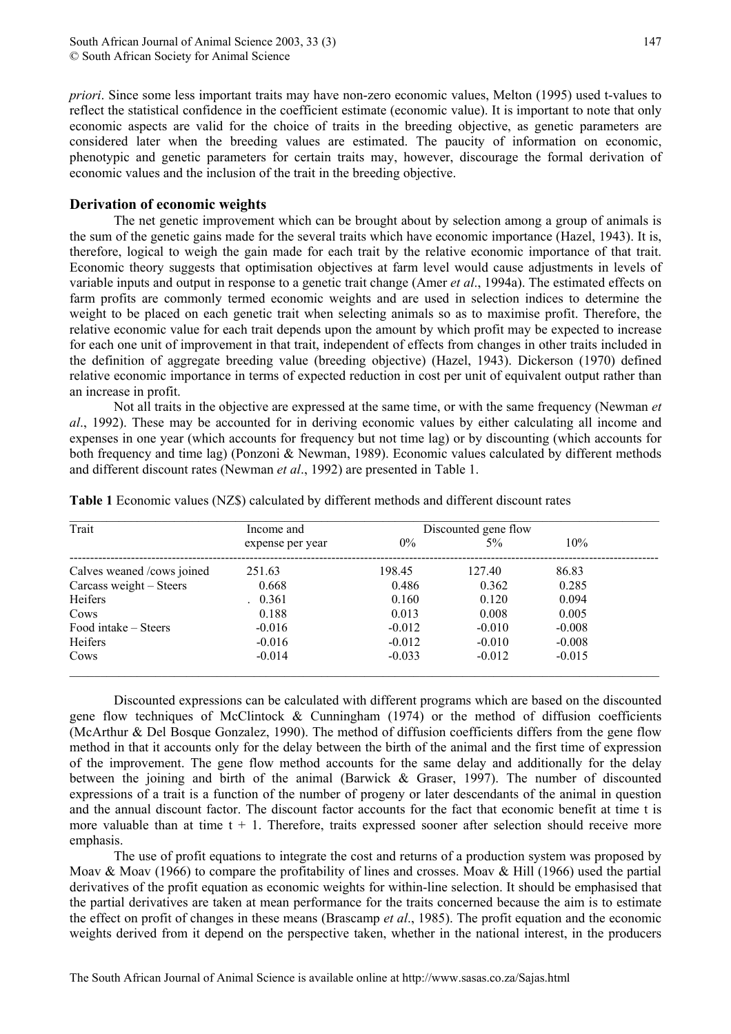*priori*. Since some less important traits may have non-zero economic values, Melton (1995) used t-values to reflect the statistical confidence in the coefficient estimate (economic value). It is important to note that only economic aspects are valid for the choice of traits in the breeding objective, as genetic parameters are considered later when the breeding values are estimated. The paucity of information on economic, phenotypic and genetic parameters for certain traits may, however, discourage the formal derivation of economic values and the inclusion of the trait in the breeding objective.

## **Derivation of economic weights**

The net genetic improvement which can be brought about by selection among a group of animals is the sum of the genetic gains made for the several traits which have economic importance (Hazel, 1943). It is, therefore, logical to weigh the gain made for each trait by the relative economic importance of that trait. Economic theory suggests that optimisation objectives at farm level would cause adjustments in levels of variable inputs and output in response to a genetic trait change (Amer *et al*., 1994a). The estimated effects on farm profits are commonly termed economic weights and are used in selection indices to determine the weight to be placed on each genetic trait when selecting animals so as to maximise profit. Therefore, the relative economic value for each trait depends upon the amount by which profit may be expected to increase for each one unit of improvement in that trait, independent of effects from changes in other traits included in the definition of aggregate breeding value (breeding objective) (Hazel, 1943). Dickerson (1970) defined relative economic importance in terms of expected reduction in cost per unit of equivalent output rather than an increase in profit.

Not all traits in the objective are expressed at the same time, or with the same frequency (Newman *et al*., 1992). These may be accounted for in deriving economic values by either calculating all income and expenses in one year (which accounts for frequency but not time lag) or by discounting (which accounts for both frequency and time lag) (Ponzoni & Newman, 1989). Economic values calculated by different methods and different discount rates (Newman *et al*., 1992) are presented in Table 1.

| Trait                      | Income and       | Discounted gene flow |          |          |  |
|----------------------------|------------------|----------------------|----------|----------|--|
|                            | expense per year | $0\%$                | $5\%$    | 10%      |  |
| Calves weaned /cows joined | 251.63           | 198.45               | 127.40   | 86.83    |  |
| Carcass weight - Steers    | 0.668            | 0.486                | 0.362    | 0.285    |  |
| Heifers                    | 0.361            | 0.160                | 0.120    | 0.094    |  |
| Cows                       | 0.188            | 0.013                | 0.008    | 0.005    |  |
| Food intake – Steers       | $-0.016$         | $-0.012$             | $-0.010$ | $-0.008$ |  |
| Heifers                    | $-0.016$         | $-0.012$             | $-0.010$ | $-0.008$ |  |
| Cows                       | $-0.014$         | $-0.033$             | $-0.012$ | $-0.015$ |  |

**Table 1** Economic values (NZ\$) calculated by different methods and different discount rates

Discounted expressions can be calculated with different programs which are based on the discounted gene flow techniques of McClintock & Cunningham (1974) or the method of diffusion coefficients (McArthur & Del Bosque Gonzalez, 1990). The method of diffusion coefficients differs from the gene flow method in that it accounts only for the delay between the birth of the animal and the first time of expression of the improvement. The gene flow method accounts for the same delay and additionally for the delay between the joining and birth of the animal (Barwick & Graser, 1997). The number of discounted expressions of a trait is a function of the number of progeny or later descendants of the animal in question and the annual discount factor. The discount factor accounts for the fact that economic benefit at time t is more valuable than at time  $t + 1$ . Therefore, traits expressed sooner after selection should receive more emphasis.

The use of profit equations to integrate the cost and returns of a production system was proposed by Moav & Moav (1966) to compare the profitability of lines and crosses. Moav & Hill (1966) used the partial derivatives of the profit equation as economic weights for within-line selection. It should be emphasised that the partial derivatives are taken at mean performance for the traits concerned because the aim is to estimate the effect on profit of changes in these means (Brascamp *et al*., 1985). The profit equation and the economic weights derived from it depend on the perspective taken, whether in the national interest, in the producers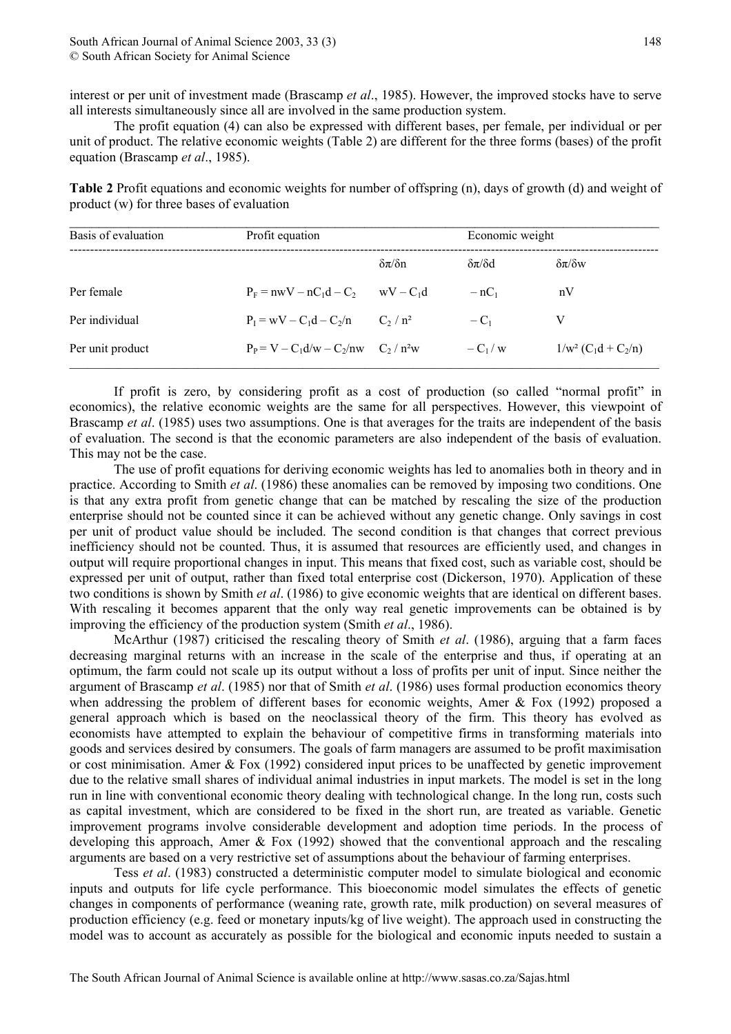interest or per unit of investment made (Brascamp *et al*., 1985). However, the improved stocks have to serve all interests simultaneously since all are involved in the same production system.

The profit equation (4) can also be expressed with different bases, per female, per individual or per unit of product. The relative economic weights (Table 2) are different for the three forms (bases) of the profit equation (Brascamp *et al*., 1985).

**Table 2** Profit equations and economic weights for number of offspring (n), days of growth (d) and weight of product (w) for three bases of evaluation

| Basis of evaluation | Profit equation                           |                         | Economic weight         |                         |
|---------------------|-------------------------------------------|-------------------------|-------------------------|-------------------------|
|                     |                                           | $\delta \pi / \delta n$ | $\delta \pi / \delta d$ | $\delta \pi / \delta W$ |
| Per female          | $P_F = nwV - nC_1d - C_2$                 | $W - C_1d$              | $- nC_1$                | nV                      |
| Per individual      | $P_1 = wV - C_1d - C_2/n$                 | $C_2/n^2$               | $-C_1$                  | V                       |
| Per unit product    | $P_P = V - C_1 d/w - C_2/nw$ $C_2 / n^2w$ |                         | $-C_1/w$                | $1/w^2 (C_1d + C_2/n)$  |

If profit is zero, by considering profit as a cost of production (so called "normal profit" in economics), the relative economic weights are the same for all perspectives. However, this viewpoint of Brascamp *et al*. (1985) uses two assumptions. One is that averages for the traits are independent of the basis of evaluation. The second is that the economic parameters are also independent of the basis of evaluation. This may not be the case.

The use of profit equations for deriving economic weights has led to anomalies both in theory and in practice. According to Smith *et al*. (1986) these anomalies can be removed by imposing two conditions. One is that any extra profit from genetic change that can be matched by rescaling the size of the production enterprise should not be counted since it can be achieved without any genetic change. Only savings in cost per unit of product value should be included. The second condition is that changes that correct previous inefficiency should not be counted. Thus, it is assumed that resources are efficiently used, and changes in output will require proportional changes in input. This means that fixed cost, such as variable cost, should be expressed per unit of output, rather than fixed total enterprise cost (Dickerson, 1970). Application of these two conditions is shown by Smith *et al*. (1986) to give economic weights that are identical on different bases. With rescaling it becomes apparent that the only way real genetic improvements can be obtained is by improving the efficiency of the production system (Smith *et al*., 1986).

McArthur (1987) criticised the rescaling theory of Smith *et al*. (1986), arguing that a farm faces decreasing marginal returns with an increase in the scale of the enterprise and thus, if operating at an optimum, the farm could not scale up its output without a loss of profits per unit of input. Since neither the argument of Brascamp *et al*. (1985) nor that of Smith *et al*. (1986) uses formal production economics theory when addressing the problem of different bases for economic weights, Amer & Fox (1992) proposed a general approach which is based on the neoclassical theory of the firm. This theory has evolved as economists have attempted to explain the behaviour of competitive firms in transforming materials into goods and services desired by consumers. The goals of farm managers are assumed to be profit maximisation or cost minimisation. Amer  $\&$  Fox (1992) considered input prices to be unaffected by genetic improvement due to the relative small shares of individual animal industries in input markets. The model is set in the long run in line with conventional economic theory dealing with technological change. In the long run, costs such as capital investment, which are considered to be fixed in the short run, are treated as variable. Genetic improvement programs involve considerable development and adoption time periods. In the process of developing this approach, Amer & Fox (1992) showed that the conventional approach and the rescaling arguments are based on a very restrictive set of assumptions about the behaviour of farming enterprises.

Tess *et al*. (1983) constructed a deterministic computer model to simulate biological and economic inputs and outputs for life cycle performance. This bioeconomic model simulates the effects of genetic changes in components of performance (weaning rate, growth rate, milk production) on several measures of production efficiency (e.g. feed or monetary inputs/kg of live weight). The approach used in constructing the model was to account as accurately as possible for the biological and economic inputs needed to sustain a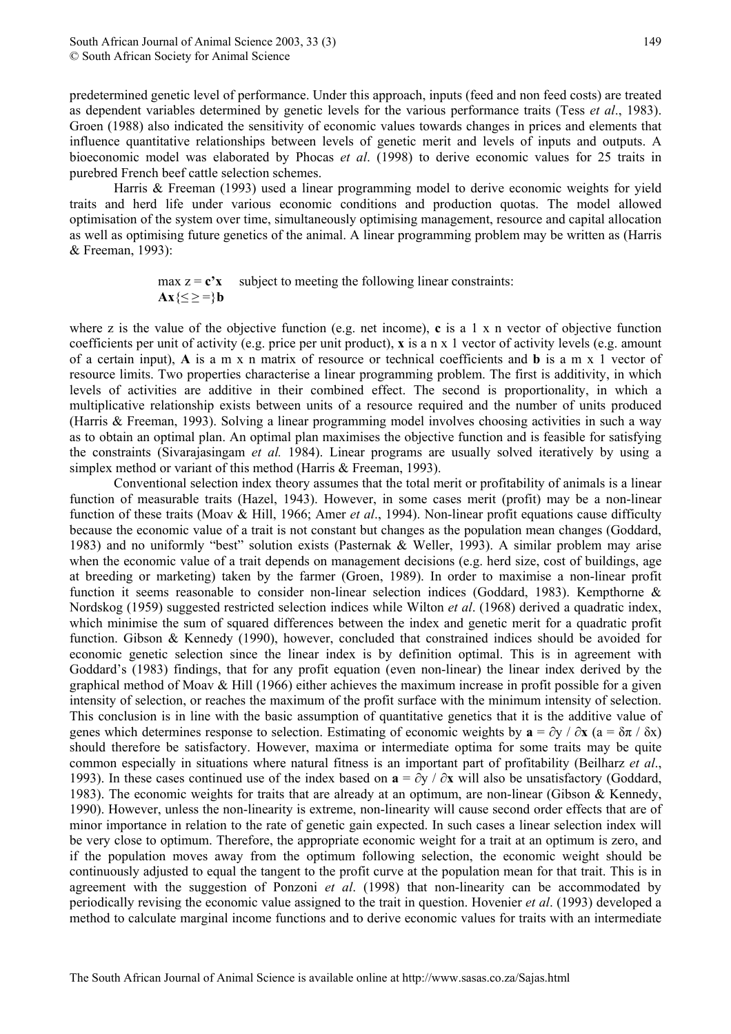predetermined genetic level of performance. Under this approach, inputs (feed and non feed costs) are treated as dependent variables determined by genetic levels for the various performance traits (Tess *et al*., 1983). Groen (1988) also indicated the sensitivity of economic values towards changes in prices and elements that influence quantitative relationships between levels of genetic merit and levels of inputs and outputs. A bioeconomic model was elaborated by Phocas *et al*. (1998) to derive economic values for 25 traits in purebred French beef cattle selection schemes.

Harris & Freeman (1993) used a linear programming model to derive economic weights for yield traits and herd life under various economic conditions and production quotas. The model allowed optimisation of the system over time, simultaneously optimising management, resource and capital allocation as well as optimising future genetics of the animal. A linear programming problem may be written as (Harris & Freeman, 1993):

> max  $z = c'x$  subject to meeting the following linear constraints:  $Ax \leq \geq \Rightarrow b$

where z is the value of the objective function (e.g. net income), **c** is a 1 x n vector of objective function coefficients per unit of activity (e.g. price per unit product), **x** is a n x 1 vector of activity levels (e.g. amount of a certain input), **A** is a m x n matrix of resource or technical coefficients and **b** is a m x 1 vector of resource limits. Two properties characterise a linear programming problem. The first is additivity, in which levels of activities are additive in their combined effect. The second is proportionality, in which a multiplicative relationship exists between units of a resource required and the number of units produced (Harris & Freeman, 1993). Solving a linear programming model involves choosing activities in such a way as to obtain an optimal plan. An optimal plan maximises the objective function and is feasible for satisfying the constraints (Sivarajasingam *et al.* 1984). Linear programs are usually solved iteratively by using a simplex method or variant of this method (Harris & Freeman, 1993).

Conventional selection index theory assumes that the total merit or profitability of animals is a linear function of measurable traits (Hazel, 1943). However, in some cases merit (profit) may be a non-linear function of these traits (Moav & Hill, 1966; Amer *et al*., 1994). Non-linear profit equations cause difficulty because the economic value of a trait is not constant but changes as the population mean changes (Goddard, 1983) and no uniformly "best" solution exists (Pasternak & Weller, 1993). A similar problem may arise when the economic value of a trait depends on management decisions (e.g. herd size, cost of buildings, age at breeding or marketing) taken by the farmer (Groen, 1989). In order to maximise a non-linear profit function it seems reasonable to consider non-linear selection indices (Goddard, 1983). Kempthorne & Nordskog (1959) suggested restricted selection indices while Wilton *et al*. (1968) derived a quadratic index, which minimise the sum of squared differences between the index and genetic merit for a quadratic profit function. Gibson & Kennedy (1990), however, concluded that constrained indices should be avoided for economic genetic selection since the linear index is by definition optimal. This is in agreement with Goddard's (1983) findings, that for any profit equation (even non-linear) the linear index derived by the graphical method of Moav & Hill (1966) either achieves the maximum increase in profit possible for a given intensity of selection, or reaches the maximum of the profit surface with the minimum intensity of selection. This conclusion is in line with the basic assumption of quantitative genetics that it is the additive value of genes which determines response to selection. Estimating of economic weights by  $\mathbf{a} = \partial y / \partial x$  ( $a = \delta \pi / \delta x$ ) should therefore be satisfactory. However, maxima or intermediate optima for some traits may be quite common especially in situations where natural fitness is an important part of profitability (Beilharz *et al*., 1993). In these cases continued use of the index based on **a** = ∂y / ∂**x** will also be unsatisfactory (Goddard, 1983). The economic weights for traits that are already at an optimum, are non-linear (Gibson & Kennedy, 1990). However, unless the non-linearity is extreme, non-linearity will cause second order effects that are of minor importance in relation to the rate of genetic gain expected. In such cases a linear selection index will be very close to optimum. Therefore, the appropriate economic weight for a trait at an optimum is zero, and if the population moves away from the optimum following selection, the economic weight should be continuously adjusted to equal the tangent to the profit curve at the population mean for that trait. This is in agreement with the suggestion of Ponzoni *et al*. (1998) that non-linearity can be accommodated by periodically revising the economic value assigned to the trait in question. Hovenier *et al*. (1993) developed a method to calculate marginal income functions and to derive economic values for traits with an intermediate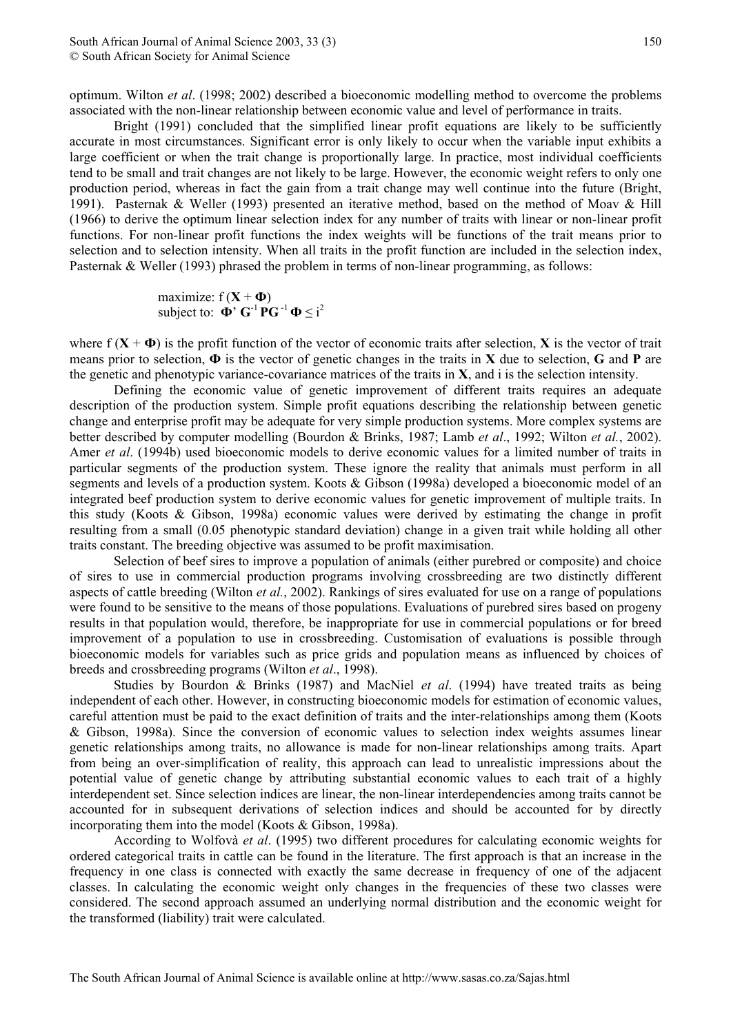optimum. Wilton *et al*. (1998; 2002) described a bioeconomic modelling method to overcome the problems associated with the non-linear relationship between economic value and level of performance in traits.

Bright (1991) concluded that the simplified linear profit equations are likely to be sufficiently accurate in most circumstances. Significant error is only likely to occur when the variable input exhibits a large coefficient or when the trait change is proportionally large. In practice, most individual coefficients tend to be small and trait changes are not likely to be large. However, the economic weight refers to only one production period, whereas in fact the gain from a trait change may well continue into the future (Bright, 1991). Pasternak & Weller (1993) presented an iterative method, based on the method of Moav & Hill (1966) to derive the optimum linear selection index for any number of traits with linear or non-linear profit functions. For non-linear profit functions the index weights will be functions of the trait means prior to selection and to selection intensity. When all traits in the profit function are included in the selection index, Pasternak & Weller (1993) phrased the problem in terms of non-linear programming, as follows:

> maximize:  $f(X + \Phi)$ subject to:  $\mathbf{\Phi} \cdot \mathbf{G}^{-1} \mathbf{P} \mathbf{G}^{-1} \mathbf{\Phi} \leq \mathbf{i}^2$

where  $f(X + \Phi)$  is the profit function of the vector of economic traits after selection, **X** is the vector of trait means prior to selection, **Ф** is the vector of genetic changes in the traits in **X** due to selection, **G** and **P** are the genetic and phenotypic variance-covariance matrices of the traits in **X**, and i is the selection intensity.

Defining the economic value of genetic improvement of different traits requires an adequate description of the production system. Simple profit equations describing the relationship between genetic change and enterprise profit may be adequate for very simple production systems. More complex systems are better described by computer modelling (Bourdon & Brinks, 1987; Lamb *et al*., 1992; Wilton *et al.*, 2002). Amer *et al*. (1994b) used bioeconomic models to derive economic values for a limited number of traits in particular segments of the production system. These ignore the reality that animals must perform in all segments and levels of a production system. Koots & Gibson (1998a) developed a bioeconomic model of an integrated beef production system to derive economic values for genetic improvement of multiple traits. In this study (Koots & Gibson, 1998a) economic values were derived by estimating the change in profit resulting from a small (0.05 phenotypic standard deviation) change in a given trait while holding all other traits constant. The breeding objective was assumed to be profit maximisation.

Selection of beef sires to improve a population of animals (either purebred or composite) and choice of sires to use in commercial production programs involving crossbreeding are two distinctly different aspects of cattle breeding (Wilton *et al.*, 2002). Rankings of sires evaluated for use on a range of populations were found to be sensitive to the means of those populations. Evaluations of purebred sires based on progeny results in that population would, therefore, be inappropriate for use in commercial populations or for breed improvement of a population to use in crossbreeding. Customisation of evaluations is possible through bioeconomic models for variables such as price grids and population means as influenced by choices of breeds and crossbreeding programs (Wilton *et al*., 1998).

Studies by Bourdon & Brinks (1987) and MacNiel *et al*. (1994) have treated traits as being independent of each other. However, in constructing bioeconomic models for estimation of economic values, careful attention must be paid to the exact definition of traits and the inter-relationships among them (Koots & Gibson, 1998a). Since the conversion of economic values to selection index weights assumes linear genetic relationships among traits, no allowance is made for non-linear relationships among traits. Apart from being an over-simplification of reality, this approach can lead to unrealistic impressions about the potential value of genetic change by attributing substantial economic values to each trait of a highly interdependent set. Since selection indices are linear, the non-linear interdependencies among traits cannot be accounted for in subsequent derivations of selection indices and should be accounted for by directly incorporating them into the model (Koots & Gibson, 1998a).

According to Wolfovà *et al*. (1995) two different procedures for calculating economic weights for ordered categorical traits in cattle can be found in the literature. The first approach is that an increase in the frequency in one class is connected with exactly the same decrease in frequency of one of the adjacent classes. In calculating the economic weight only changes in the frequencies of these two classes were considered. The second approach assumed an underlying normal distribution and the economic weight for the transformed (liability) trait were calculated.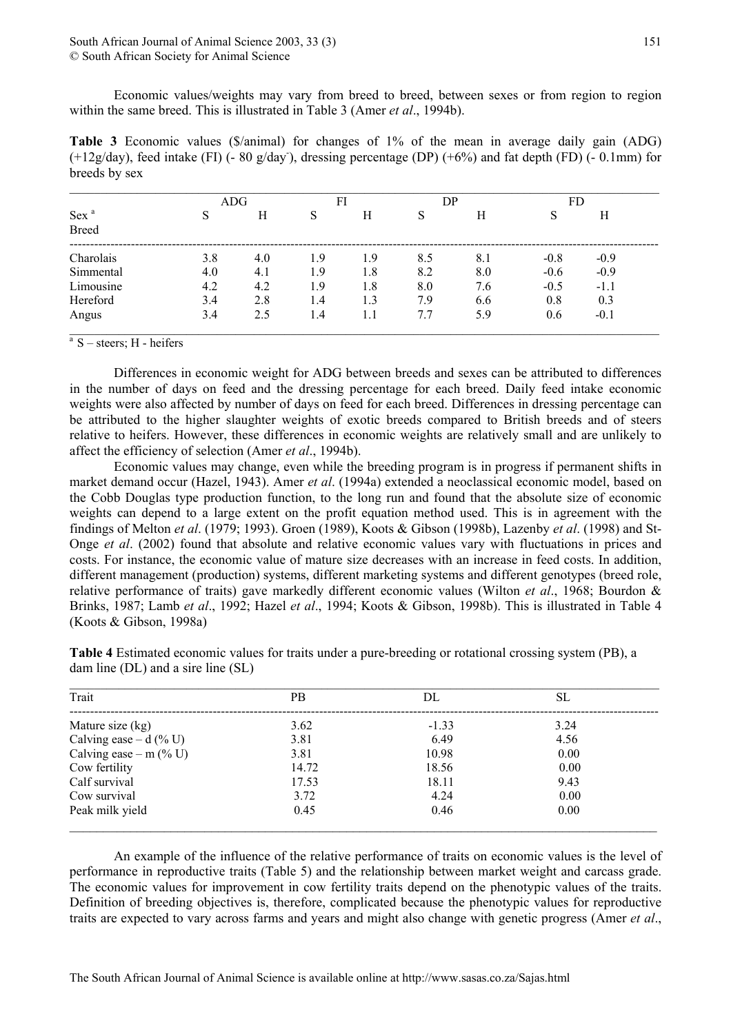South African Journal of Animal Science 2003, 33 (3) © South African Society for Animal Science

Economic values/weights may vary from breed to breed, between sexes or from region to region within the same breed. This is illustrated in Table 3 (Amer *et al*., 1994b).

**Table 3** Economic values (\$/animal) for changes of 1% of the mean in average daily gain (ADG)  $(+12g/day)$ , feed intake (FI) (- 80 g/day), dressing percentage (DP) (+6%) and fat depth (FD) (- 0.1mm) for breeds by sex

|                  | ADG |     | FI           |     | DP  |     | FD     |        |
|------------------|-----|-----|--------------|-----|-----|-----|--------|--------|
| Sex <sup>a</sup> | S   | H   | <sup>S</sup> | Н   | S   | Η   | S      | H      |
| <b>Breed</b>     |     |     |              |     |     |     |        |        |
| Charolais        | 3.8 | 4.0 | 1.9          | 1.9 | 8.5 | 8.1 | $-0.8$ | $-0.9$ |
| Simmental        | 4.0 | 4.1 | 1.9          | 1.8 | 8.2 | 8.0 | $-0.6$ | $-0.9$ |
| Limousine        | 4.2 | 4.2 | 1.9          | 1.8 | 8.0 | 7.6 | $-0.5$ | $-1.1$ |
| Hereford         | 3.4 | 2.8 | 1.4          | 1.3 | 7.9 | 6.6 | 0.8    | 0.3    |
| Angus            | 3.4 | 2.5 | 1.4          | 1.1 | 7.7 | 5.9 | 0.6    | $-0.1$ |

 $a_S$  – steers; H - heifers

Differences in economic weight for ADG between breeds and sexes can be attributed to differences in the number of days on feed and the dressing percentage for each breed. Daily feed intake economic weights were also affected by number of days on feed for each breed. Differences in dressing percentage can be attributed to the higher slaughter weights of exotic breeds compared to British breeds and of steers relative to heifers. However, these differences in economic weights are relatively small and are unlikely to affect the efficiency of selection (Amer *et al*., 1994b).

Economic values may change, even while the breeding program is in progress if permanent shifts in market demand occur (Hazel, 1943). Amer *et al*. (1994a) extended a neoclassical economic model, based on the Cobb Douglas type production function, to the long run and found that the absolute size of economic weights can depend to a large extent on the profit equation method used. This is in agreement with the findings of Melton *et al*. (1979; 1993). Groen (1989), Koots & Gibson (1998b), Lazenby *et al*. (1998) and St-Onge *et al*. (2002) found that absolute and relative economic values vary with fluctuations in prices and costs. For instance, the economic value of mature size decreases with an increase in feed costs. In addition, different management (production) systems, different marketing systems and different genotypes (breed role, relative performance of traits) gave markedly different economic values (Wilton *et al*., 1968; Bourdon & Brinks, 1987; Lamb *et al*., 1992; Hazel *et al*., 1994; Koots & Gibson, 1998b). This is illustrated in Table 4 (Koots & Gibson, 1998a)

**Table 4** Estimated economic values for traits under a pure-breeding or rotational crossing system (PB), a dam line (DL) and a sire line (SL)

| Trait                     | <b>PB</b> | DL      | <b>SL</b> |
|---------------------------|-----------|---------|-----------|
| Mature size (kg)          | 3.62      | $-1.33$ | 3.24      |
| Calving ease $- d$ (% U)  | 3.81      | 6.49    | 4.56      |
| Calving ease – m $(\%$ U) | 3.81      | 10.98   | 0.00      |
| Cow fertility             | 14.72     | 18.56   | 0.00      |
| Calf survival             | 17.53     | 18.11   | 9.43      |
| Cow survival              | 3.72      | 4.24    | 0.00      |
| Peak milk yield           | 0.45      | 0.46    | 0.00      |

An example of the influence of the relative performance of traits on economic values is the level of performance in reproductive traits (Table 5) and the relationship between market weight and carcass grade. The economic values for improvement in cow fertility traits depend on the phenotypic values of the traits. Definition of breeding objectives is, therefore, complicated because the phenotypic values for reproductive traits are expected to vary across farms and years and might also change with genetic progress (Amer *et al*.,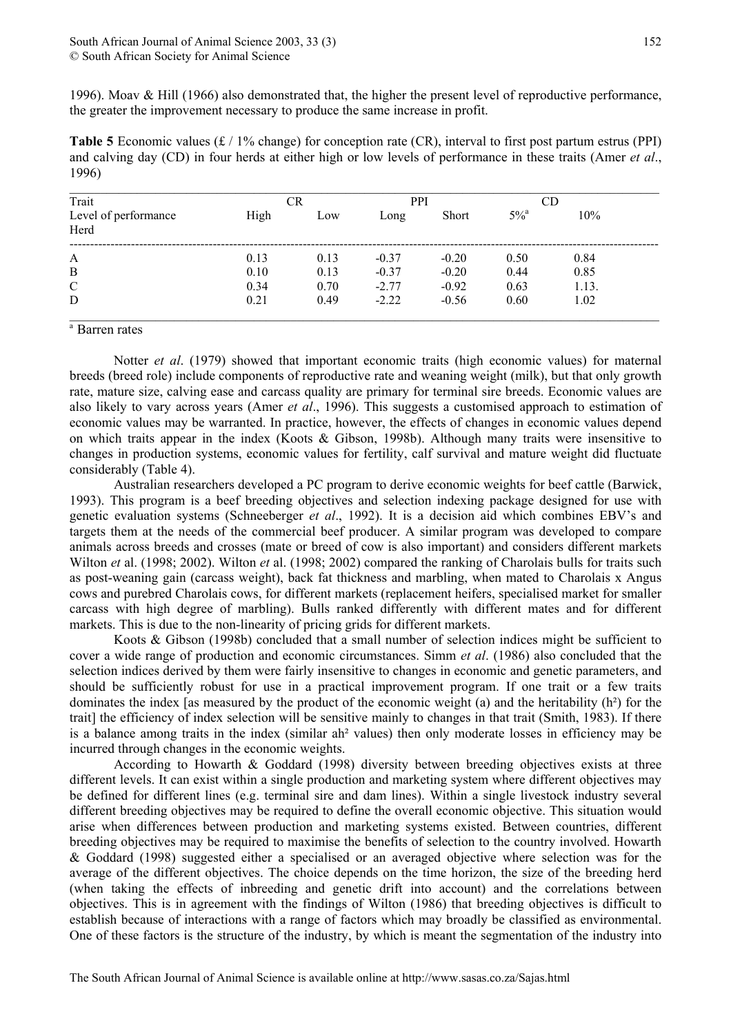1996). Moav & Hill (1966) also demonstrated that, the higher the present level of reproductive performance, the greater the improvement necessary to produce the same increase in profit.

**Table 5** Economic values (£ / 1% change) for conception rate (CR), interval to first post partum estrus (PPI) and calving day (CD) in four herds at either high or low levels of performance in these traits (Amer *et al*., 1996)

| Trait                        |      | <b>CR</b> | PPI     |         | <b>CD</b>          |       |
|------------------------------|------|-----------|---------|---------|--------------------|-------|
| Level of performance<br>Herd | High | Low       | Long    | Short   | $5\%$ <sup>a</sup> | 10%   |
| $\mathbf{A}$                 | 0.13 | 0.13      | $-0.37$ | $-0.20$ | 0.50               | 0.84  |
| $\boldsymbol{B}$             | 0.10 | 0.13      | $-0.37$ | $-0.20$ | 0.44               | 0.85  |
| ${\bf C}$                    | 0.34 | 0.70      | $-2.77$ | $-0.92$ | 0.63               | 1.13. |
| D                            | 0.21 | 0.49      | $-2.22$ | $-0.56$ | 0.60               | 1.02  |

Notter *et al*. (1979) showed that important economic traits (high economic values) for maternal breeds (breed role) include components of reproductive rate and weaning weight (milk), but that only growth rate, mature size, calving ease and carcass quality are primary for terminal sire breeds. Economic values are also likely to vary across years (Amer *et al*., 1996). This suggests a customised approach to estimation of economic values may be warranted. In practice, however, the effects of changes in economic values depend on which traits appear in the index (Koots & Gibson, 1998b). Although many traits were insensitive to changes in production systems, economic values for fertility, calf survival and mature weight did fluctuate considerably (Table 4).

Australian researchers developed a PC program to derive economic weights for beef cattle (Barwick, 1993). This program is a beef breeding objectives and selection indexing package designed for use with genetic evaluation systems (Schneeberger *et al*., 1992). It is a decision aid which combines EBV's and targets them at the needs of the commercial beef producer. A similar program was developed to compare animals across breeds and crosses (mate or breed of cow is also important) and considers different markets Wilton *et* al. (1998; 2002). Wilton *et* al. (1998; 2002) compared the ranking of Charolais bulls for traits such as post-weaning gain (carcass weight), back fat thickness and marbling, when mated to Charolais x Angus cows and purebred Charolais cows, for different markets (replacement heifers, specialised market for smaller carcass with high degree of marbling). Bulls ranked differently with different mates and for different markets. This is due to the non-linearity of pricing grids for different markets.

Koots & Gibson (1998b) concluded that a small number of selection indices might be sufficient to cover a wide range of production and economic circumstances. Simm *et al*. (1986) also concluded that the selection indices derived by them were fairly insensitive to changes in economic and genetic parameters, and should be sufficiently robust for use in a practical improvement program. If one trait or a few traits dominates the index [as measured by the product of the economic weight (a) and the heritability (h²) for the trait] the efficiency of index selection will be sensitive mainly to changes in that trait (Smith, 1983). If there is a balance among traits in the index (similar ah² values) then only moderate losses in efficiency may be incurred through changes in the economic weights.

According to Howarth & Goddard (1998) diversity between breeding objectives exists at three different levels. It can exist within a single production and marketing system where different objectives may be defined for different lines (e.g. terminal sire and dam lines). Within a single livestock industry several different breeding objectives may be required to define the overall economic objective. This situation would arise when differences between production and marketing systems existed. Between countries, different breeding objectives may be required to maximise the benefits of selection to the country involved. Howarth & Goddard (1998) suggested either a specialised or an averaged objective where selection was for the average of the different objectives. The choice depends on the time horizon, the size of the breeding herd (when taking the effects of inbreeding and genetic drift into account) and the correlations between objectives. This is in agreement with the findings of Wilton (1986) that breeding objectives is difficult to establish because of interactions with a range of factors which may broadly be classified as environmental. One of these factors is the structure of the industry, by which is meant the segmentation of the industry into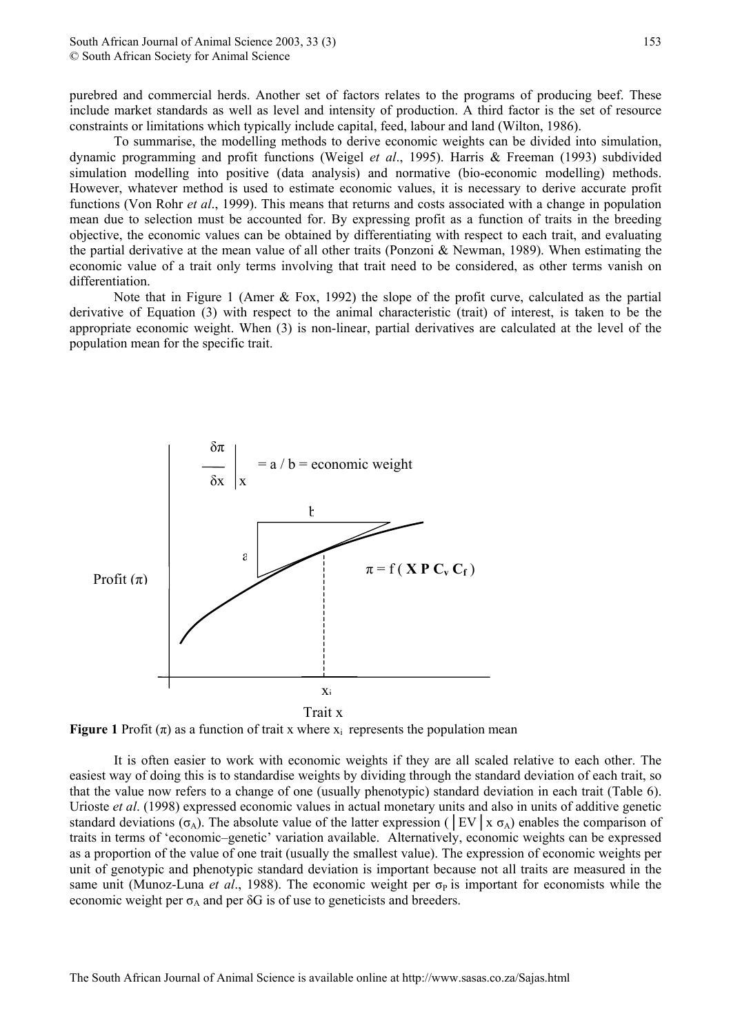purebred and commercial herds. Another set of factors relates to the programs of producing beef. These include market standards as well as level and intensity of production. A third factor is the set of resource constraints or limitations which typically include capital, feed, labour and land (Wilton, 1986).

To summarise, the modelling methods to derive economic weights can be divided into simulation, dynamic programming and profit functions (Weigel *et al*., 1995). Harris & Freeman (1993) subdivided simulation modelling into positive (data analysis) and normative (bio-economic modelling) methods. However, whatever method is used to estimate economic values, it is necessary to derive accurate profit functions (Von Rohr *et al*., 1999). This means that returns and costs associated with a change in population mean due to selection must be accounted for. By expressing profit as a function of traits in the breeding objective, the economic values can be obtained by differentiating with respect to each trait, and evaluating the partial derivative at the mean value of all other traits (Ponzoni & Newman, 1989). When estimating the economic value of a trait only terms involving that trait need to be considered, as other terms vanish on differentiation.

Note that in Figure 1 (Amer & Fox, 1992) the slope of the profit curve, calculated as the partial derivative of Equation (3) with respect to the animal characteristic (trait) of interest, is taken to be the appropriate economic weight. When (3) is non-linear, partial derivatives are calculated at the level of the population mean for the specific trait.





It is often easier to work with economic weights if they are all scaled relative to each other. The easiest way of doing this is to standardise weights by dividing through the standard deviation of each trait, so that the value now refers to a change of one (usually phenotypic) standard deviation in each trait (Table 6). Urioste *et al*. (1998) expressed economic values in actual monetary units and also in units of additive genetic standard deviations ( $\sigma_A$ ). The absolute value of the latter expression ( $|EV| \times \sigma_A$ ) enables the comparison of traits in terms of 'economic–genetic' variation available. Alternatively, economic weights can be expressed as a proportion of the value of one trait (usually the smallest value). The expression of economic weights per unit of genotypic and phenotypic standard deviation is important because not all traits are measured in the same unit (Munoz-Luna *et al.*, 1988). The economic weight per  $\sigma_p$  is important for economists while the economic weight per  $\sigma_A$  and per  $\delta G$  is of use to geneticists and breeders.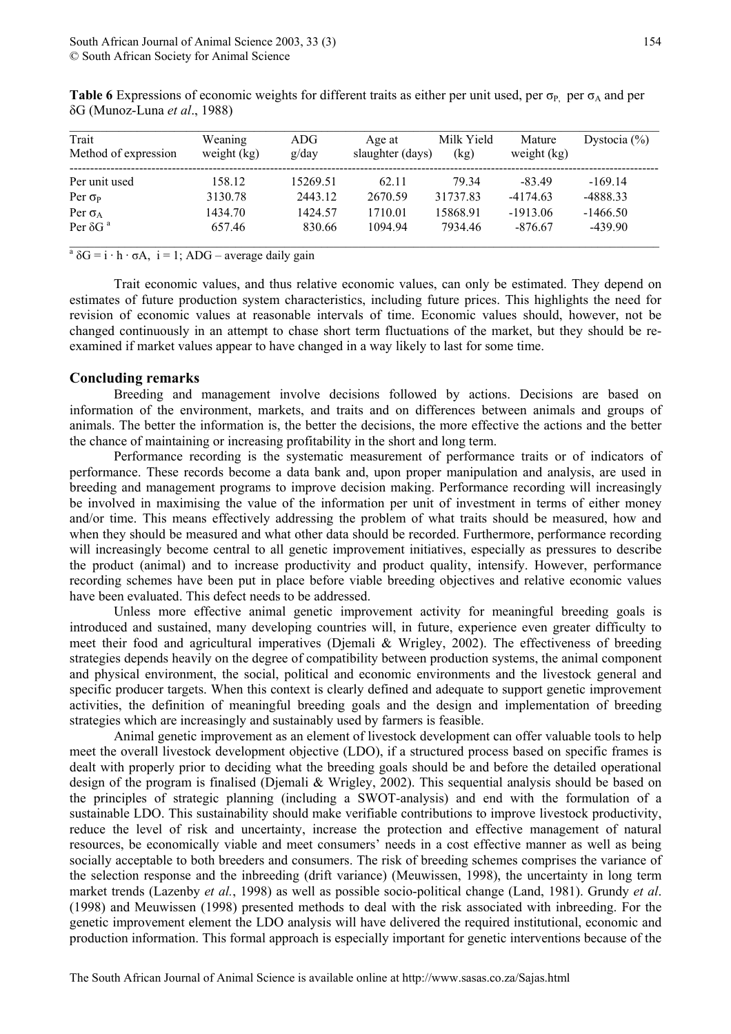| Trait<br>Method of expression | Weaning<br>weight $(kg)$ | ADG<br>g/day | Age at<br>slaughter (days) | Milk Yield<br>(kg) | Mature<br>weight $(kg)$ | Dystocia $(\% )$ |
|-------------------------------|--------------------------|--------------|----------------------------|--------------------|-------------------------|------------------|
| Per unit used                 | 158.12                   | 15269.51     | 62.11                      | 79.34              | $-83.49$                | $-169.14$        |
| Per $\sigma_P$                | 3130.78                  | 2443.12      | 2670.59                    | 31737.83           | $-4174.63$              | -4888.33         |
| Per $\sigma_A$                | 1434.70                  | 1424.57      | 1710.01                    | 15868.91           | $-1913.06$              | $-1466.50$       |
| Per $\delta G^a$              | 657.46                   | 830.66       | 1094.94                    | 7934.46            | -876.67                 | $-439.90$        |

**Table 6** Expressions of economic weights for different traits as either per unit used, per  $\sigma_{P}$  per  $\sigma_A$  and per δG (Munoz-Luna *et al*., 1988)

 $a^a \delta G = i \cdot h \cdot \sigma A$ ,  $i = 1$ ; ADG – average daily gain

Trait economic values, and thus relative economic values, can only be estimated. They depend on estimates of future production system characteristics, including future prices. This highlights the need for revision of economic values at reasonable intervals of time. Economic values should, however, not be changed continuously in an attempt to chase short term fluctuations of the market, but they should be reexamined if market values appear to have changed in a way likely to last for some time.

## **Concluding remarks**

Breeding and management involve decisions followed by actions. Decisions are based on information of the environment, markets, and traits and on differences between animals and groups of animals. The better the information is, the better the decisions, the more effective the actions and the better the chance of maintaining or increasing profitability in the short and long term.

Performance recording is the systematic measurement of performance traits or of indicators of performance. These records become a data bank and, upon proper manipulation and analysis, are used in breeding and management programs to improve decision making. Performance recording will increasingly be involved in maximising the value of the information per unit of investment in terms of either money and/or time. This means effectively addressing the problem of what traits should be measured, how and when they should be measured and what other data should be recorded. Furthermore, performance recording will increasingly become central to all genetic improvement initiatives, especially as pressures to describe the product (animal) and to increase productivity and product quality, intensify. However, performance recording schemes have been put in place before viable breeding objectives and relative economic values have been evaluated. This defect needs to be addressed.

Unless more effective animal genetic improvement activity for meaningful breeding goals is introduced and sustained, many developing countries will, in future, experience even greater difficulty to meet their food and agricultural imperatives (Djemali & Wrigley, 2002). The effectiveness of breeding strategies depends heavily on the degree of compatibility between production systems, the animal component and physical environment, the social, political and economic environments and the livestock general and specific producer targets. When this context is clearly defined and adequate to support genetic improvement activities, the definition of meaningful breeding goals and the design and implementation of breeding strategies which are increasingly and sustainably used by farmers is feasible.

Animal genetic improvement as an element of livestock development can offer valuable tools to help meet the overall livestock development objective (LDO), if a structured process based on specific frames is dealt with properly prior to deciding what the breeding goals should be and before the detailed operational design of the program is finalised (Djemali & Wrigley, 2002). This sequential analysis should be based on the principles of strategic planning (including a SWOT-analysis) and end with the formulation of a sustainable LDO. This sustainability should make verifiable contributions to improve livestock productivity, reduce the level of risk and uncertainty, increase the protection and effective management of natural resources, be economically viable and meet consumers' needs in a cost effective manner as well as being socially acceptable to both breeders and consumers. The risk of breeding schemes comprises the variance of the selection response and the inbreeding (drift variance) (Meuwissen, 1998), the uncertainty in long term market trends (Lazenby *et al.*, 1998) as well as possible socio-political change (Land, 1981). Grundy *et al*. (1998) and Meuwissen (1998) presented methods to deal with the risk associated with inbreeding. For the genetic improvement element the LDO analysis will have delivered the required institutional, economic and production information. This formal approach is especially important for genetic interventions because of the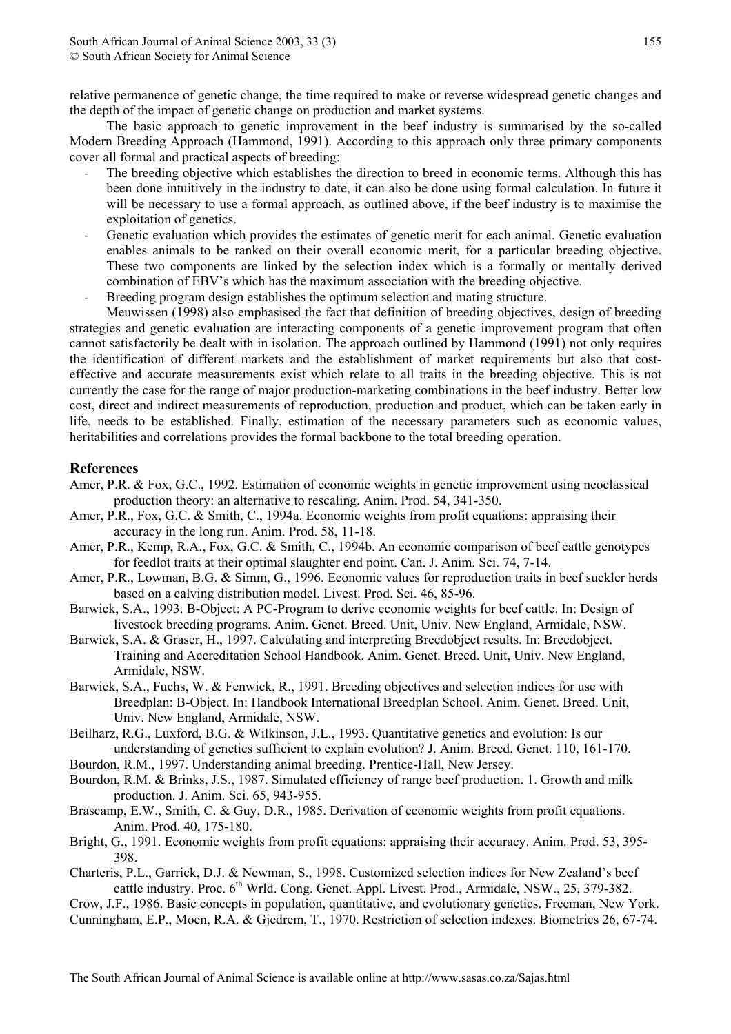The basic approach to genetic improvement in the beef industry is summarised by the so-called Modern Breeding Approach (Hammond, 1991). According to this approach only three primary components cover all formal and practical aspects of breeding:

- The breeding objective which establishes the direction to breed in economic terms. Although this has been done intuitively in the industry to date, it can also be done using formal calculation. In future it will be necessary to use a formal approach, as outlined above, if the beef industry is to maximise the exploitation of genetics.
- Genetic evaluation which provides the estimates of genetic merit for each animal. Genetic evaluation enables animals to be ranked on their overall economic merit, for a particular breeding objective. These two components are linked by the selection index which is a formally or mentally derived combination of EBV's which has the maximum association with the breeding objective.
- Breeding program design establishes the optimum selection and mating structure.

Meuwissen (1998) also emphasised the fact that definition of breeding objectives, design of breeding strategies and genetic evaluation are interacting components of a genetic improvement program that often cannot satisfactorily be dealt with in isolation. The approach outlined by Hammond (1991) not only requires the identification of different markets and the establishment of market requirements but also that costeffective and accurate measurements exist which relate to all traits in the breeding objective. This is not currently the case for the range of major production-marketing combinations in the beef industry. Better low cost, direct and indirect measurements of reproduction, production and product, which can be taken early in life, needs to be established. Finally, estimation of the necessary parameters such as economic values, heritabilities and correlations provides the formal backbone to the total breeding operation.

## **References**

- Amer, P.R. & Fox, G.C., 1992. Estimation of economic weights in genetic improvement using neoclassical production theory: an alternative to rescaling. Anim. Prod. 54, 341-350.
- Amer, P.R., Fox, G.C. & Smith, C., 1994a. Economic weights from profit equations: appraising their accuracy in the long run. Anim. Prod. 58, 11-18.
- Amer, P.R., Kemp, R.A., Fox, G.C. & Smith, C., 1994b. An economic comparison of beef cattle genotypes for feedlot traits at their optimal slaughter end point. Can. J. Anim. Sci. 74, 7-14.
- Amer, P.R., Lowman, B.G. & Simm, G., 1996. Economic values for reproduction traits in beef suckler herds based on a calving distribution model. Livest. Prod. Sci. 46, 85-96.
- Barwick, S.A., 1993. B-Object: A PC-Program to derive economic weights for beef cattle. In: Design of livestock breeding programs. Anim. Genet. Breed. Unit, Univ. New England, Armidale, NSW.
- Barwick, S.A. & Graser, H., 1997. Calculating and interpreting Breedobject results. In: Breedobject. Training and Accreditation School Handbook. Anim. Genet. Breed. Unit, Univ. New England, Armidale, NSW.
- Barwick, S.A., Fuchs, W. & Fenwick, R., 1991. Breeding objectives and selection indices for use with Breedplan: B-Object. In: Handbook International Breedplan School. Anim. Genet. Breed. Unit, Univ. New England, Armidale, NSW.
- Beilharz, R.G., Luxford, B.G. & Wilkinson, J.L., 1993. Quantitative genetics and evolution: Is our understanding of genetics sufficient to explain evolution? J. Anim. Breed. Genet. 110, 161-170.
- Bourdon, R.M., 1997. Understanding animal breeding. Prentice-Hall, New Jersey.
- Bourdon, R.M. & Brinks, J.S., 1987. Simulated efficiency of range beef production. 1. Growth and milk production. J. Anim. Sci. 65, 943-955.
- Brascamp, E.W., Smith, C. & Guy, D.R., 1985. Derivation of economic weights from profit equations. Anim. Prod. 40, 175-180.
- Bright, G., 1991. Economic weights from profit equations: appraising their accuracy. Anim. Prod. 53, 395- 398.
- Charteris, P.L., Garrick, D.J. & Newman, S., 1998. Customized selection indices for New Zealand's beef cattle industry. Proc. 6<sup>th</sup> Wrld. Cong. Genet. Appl. Livest. Prod., Armidale, NSW., 25, 379-382.
- Crow, J.F., 1986. Basic concepts in population, quantitative, and evolutionary genetics. Freeman, New York. Cunningham, E.P., Moen, R.A. & Gjedrem, T., 1970. Restriction of selection indexes. Biometrics 26, 67-74.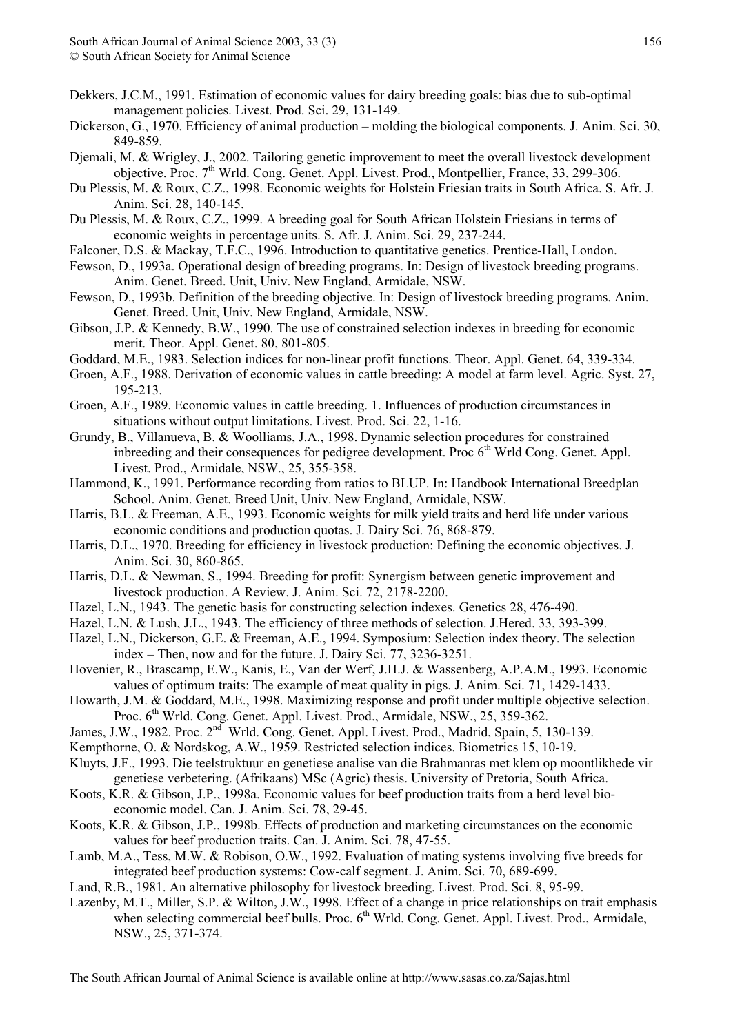- Dekkers, J.C.M., 1991. Estimation of economic values for dairy breeding goals: bias due to sub-optimal management policies. Livest. Prod. Sci. 29, 131-149.
- Dickerson, G., 1970. Efficiency of animal production molding the biological components. J. Anim. Sci. 30, 849-859.
- Djemali, M. & Wrigley, J., 2002. Tailoring genetic improvement to meet the overall livestock development objective. Proc.  $7<sup>th</sup>$  Wrld. Cong. Genet. Appl. Livest. Prod., Montpellier, France, 33, 299-306.
- Du Plessis, M. & Roux, C.Z., 1998. Economic weights for Holstein Friesian traits in South Africa. S. Afr. J. Anim. Sci. 28, 140-145.
- Du Plessis, M. & Roux, C.Z., 1999. A breeding goal for South African Holstein Friesians in terms of economic weights in percentage units. S. Afr. J. Anim. Sci. 29, 237-244.
- Falconer, D.S. & Mackay, T.F.C., 1996. Introduction to quantitative genetics. Prentice-Hall, London.
- Fewson, D., 1993a. Operational design of breeding programs. In: Design of livestock breeding programs. Anim. Genet. Breed. Unit, Univ. New England, Armidale, NSW.
- Fewson, D., 1993b. Definition of the breeding objective. In: Design of livestock breeding programs. Anim. Genet. Breed. Unit, Univ. New England, Armidale, NSW.
- Gibson, J.P. & Kennedy, B.W., 1990. The use of constrained selection indexes in breeding for economic merit. Theor. Appl. Genet. 80, 801-805.
- Goddard, M.E., 1983. Selection indices for non-linear profit functions. Theor. Appl. Genet. 64, 339-334.
- Groen, A.F., 1988. Derivation of economic values in cattle breeding: A model at farm level. Agric. Syst. 27, 195-213.
- Groen, A.F., 1989. Economic values in cattle breeding. 1. Influences of production circumstances in situations without output limitations. Livest. Prod. Sci. 22, 1-16.
- Grundy, B., Villanueva, B. & Woolliams, J.A., 1998. Dynamic selection procedures for constrained inbreeding and their consequences for pedigree development. Proc 6<sup>th</sup> Wrld Cong. Genet. Appl. Livest. Prod., Armidale, NSW., 25, 355-358.
- Hammond, K., 1991. Performance recording from ratios to BLUP. In: Handbook International Breedplan School. Anim. Genet. Breed Unit, Univ. New England, Armidale, NSW.
- Harris, B.L. & Freeman, A.E., 1993. Economic weights for milk yield traits and herd life under various economic conditions and production quotas. J. Dairy Sci. 76, 868-879.
- Harris, D.L., 1970. Breeding for efficiency in livestock production: Defining the economic objectives. J. Anim. Sci. 30, 860-865.
- Harris, D.L. & Newman, S., 1994. Breeding for profit: Synergism between genetic improvement and livestock production. A Review. J. Anim. Sci. 72, 2178-2200.
- Hazel, L.N., 1943. The genetic basis for constructing selection indexes. Genetics 28, 476-490.
- Hazel, L.N. & Lush, J.L., 1943. The efficiency of three methods of selection. J.Hered. 33, 393-399.
- Hazel, L.N., Dickerson, G.E. & Freeman, A.E., 1994. Symposium: Selection index theory. The selection index – Then, now and for the future. J. Dairy Sci. 77, 3236-3251.
- Hovenier, R., Brascamp, E.W., Kanis, E., Van der Werf, J.H.J. & Wassenberg, A.P.A.M., 1993. Economic values of optimum traits: The example of meat quality in pigs. J. Anim. Sci. 71, 1429-1433.
- Howarth, J.M. & Goddard, M.E., 1998. Maximizing response and profit under multiple objective selection. Proc. 6<sup>th</sup> Wrld. Cong. Genet. Appl. Livest. Prod., Armidale, NSW., 25, 359-362.
- James, J.W., 1982. Proc. 2<sup>nd</sup> Wrld. Cong. Genet. Appl. Livest. Prod., Madrid, Spain, 5, 130-139.
- Kempthorne, O. & Nordskog, A.W., 1959. Restricted selection indices. Biometrics 15, 10-19.
- Kluyts, J.F., 1993. Die teelstruktuur en genetiese analise van die Brahmanras met klem op moontlikhede vir genetiese verbetering. (Afrikaans) MSc (Agric) thesis. University of Pretoria, South Africa.
- Koots, K.R. & Gibson, J.P., 1998a. Economic values for beef production traits from a herd level bioeconomic model. Can. J. Anim. Sci. 78, 29-45.
- Koots, K.R. & Gibson, J.P., 1998b. Effects of production and marketing circumstances on the economic values for beef production traits. Can. J. Anim. Sci. 78, 47-55.
- Lamb, M.A., Tess, M.W. & Robison, O.W., 1992. Evaluation of mating systems involving five breeds for integrated beef production systems: Cow-calf segment. J. Anim. Sci. 70, 689-699.
- Land, R.B., 1981. An alternative philosophy for livestock breeding. Livest. Prod. Sci. 8, 95-99.
- Lazenby, M.T., Miller, S.P. & Wilton, J.W., 1998. Effect of a change in price relationships on trait emphasis when selecting commercial beef bulls. Proc.  $6<sup>th</sup>$  Wrld. Cong. Genet. Appl. Livest. Prod., Armidale, NSW., 25, 371-374.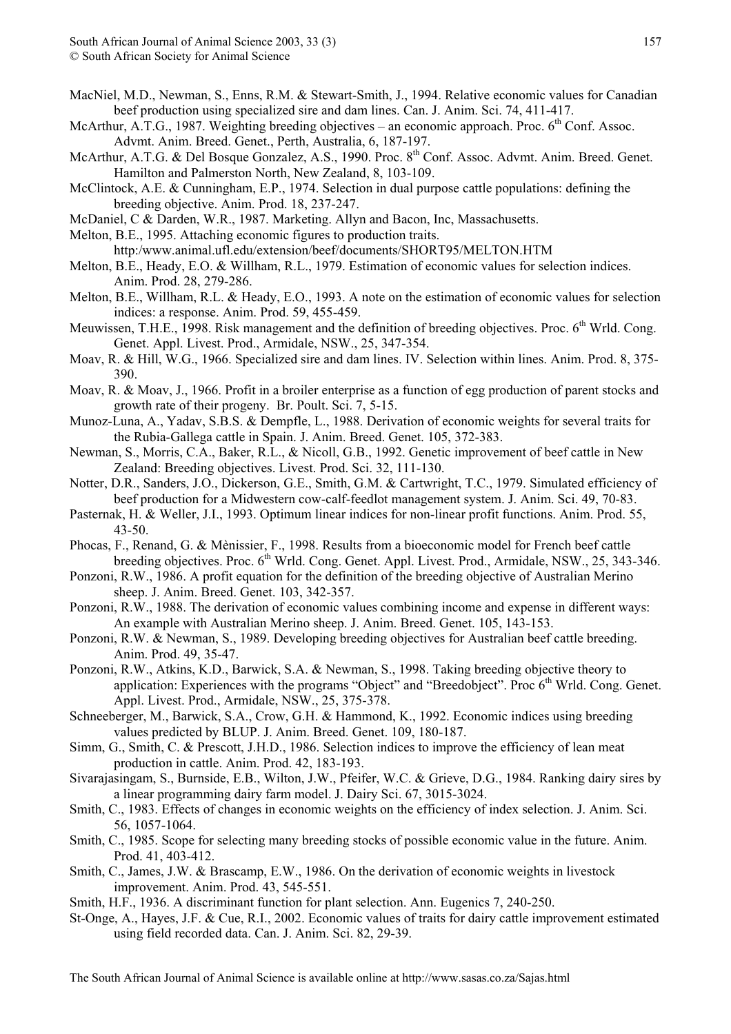- MacNiel, M.D., Newman, S., Enns, R.M. & Stewart-Smith, J., 1994. Relative economic values for Canadian beef production using specialized sire and dam lines. Can. J. Anim. Sci. 74, 411-417.
- McArthur, A.T.G., 1987. Weighting breeding objectives an economic approach. Proc. 6<sup>th</sup> Conf. Assoc. Advmt. Anim. Breed. Genet., Perth, Australia, 6, 187-197.
- McArthur, A.T.G. & Del Bosque Gonzalez, A.S., 1990. Proc. 8<sup>th</sup> Conf. Assoc. Advmt. Anim. Breed. Genet. Hamilton and Palmerston North, New Zealand, 8, 103-109.
- McClintock, A.E. & Cunningham, E.P., 1974. Selection in dual purpose cattle populations: defining the breeding objective. Anim. Prod. 18, 237-247.
- McDaniel, C & Darden, W.R., 1987. Marketing. Allyn and Bacon, Inc, Massachusetts.
- Melton, B.E., 1995. Attaching economic figures to production traits. http:/www.animal.ufl.edu/extension/beef/documents/SHORT95/MELTON.HTM
- Melton, B.E., Heady, E.O. & Willham, R.L., 1979. Estimation of economic values for selection indices. Anim. Prod. 28, 279-286.
- Melton, B.E., Willham, R.L. & Heady, E.O., 1993. A note on the estimation of economic values for selection indices: a response. Anim. Prod. 59, 455-459.
- Meuwissen, T.H.E., 1998. Risk management and the definition of breeding objectives. Proc. 6<sup>th</sup> Wrld. Cong. Genet. Appl. Livest. Prod., Armidale, NSW., 25, 347-354.
- Moav, R. & Hill, W.G., 1966. Specialized sire and dam lines. IV. Selection within lines. Anim. Prod. 8, 375- 390.
- Moav, R. & Moav, J., 1966. Profit in a broiler enterprise as a function of egg production of parent stocks and growth rate of their progeny. Br. Poult. Sci. 7, 5-15.
- Munoz-Luna, A., Yadav, S.B.S. & Dempfle, L., 1988. Derivation of economic weights for several traits for the Rubia-Gallega cattle in Spain. J. Anim. Breed. Genet. 105, 372-383.
- Newman, S., Morris, C.A., Baker, R.L., & Nicoll, G.B., 1992. Genetic improvement of beef cattle in New Zealand: Breeding objectives. Livest. Prod. Sci. 32, 111-130.
- Notter, D.R., Sanders, J.O., Dickerson, G.E., Smith, G.M. & Cartwright, T.C., 1979. Simulated efficiency of beef production for a Midwestern cow-calf-feedlot management system. J. Anim. Sci. 49, 70-83.
- Pasternak, H. & Weller, J.I., 1993. Optimum linear indices for non-linear profit functions. Anim. Prod. 55, 43-50.
- Phocas, F., Renand, G. & Mènissier, F., 1998. Results from a bioeconomic model for French beef cattle breeding objectives. Proc. 6<sup>th</sup> Wrld. Cong. Genet. Appl. Livest. Prod., Armidale, NSW., 25, 343-346.
- Ponzoni, R.W., 1986. A profit equation for the definition of the breeding objective of Australian Merino sheep. J. Anim. Breed. Genet. 103, 342-357.
- Ponzoni, R.W., 1988. The derivation of economic values combining income and expense in different ways: An example with Australian Merino sheep. J. Anim. Breed. Genet. 105, 143-153.
- Ponzoni, R.W. & Newman, S., 1989. Developing breeding objectives for Australian beef cattle breeding. Anim. Prod. 49, 35-47.
- Ponzoni, R.W., Atkins, K.D., Barwick, S.A. & Newman, S., 1998. Taking breeding objective theory to application: Experiences with the programs "Object" and "Breedobject". Proc 6<sup>th</sup> Wrld. Cong. Genet. Appl. Livest. Prod., Armidale, NSW., 25, 375-378.
- Schneeberger, M., Barwick, S.A., Crow, G.H. & Hammond, K., 1992. Economic indices using breeding values predicted by BLUP. J. Anim. Breed. Genet. 109, 180-187.
- Simm, G., Smith, C. & Prescott, J.H.D., 1986. Selection indices to improve the efficiency of lean meat production in cattle. Anim. Prod. 42, 183-193.
- Sivarajasingam, S., Burnside, E.B., Wilton, J.W., Pfeifer, W.C. & Grieve, D.G., 1984. Ranking dairy sires by a linear programming dairy farm model. J. Dairy Sci. 67, 3015-3024.
- Smith, C., 1983. Effects of changes in economic weights on the efficiency of index selection. J. Anim. Sci. 56, 1057-1064.
- Smith, C., 1985. Scope for selecting many breeding stocks of possible economic value in the future. Anim. Prod. 41, 403-412.
- Smith, C., James, J.W. & Brascamp, E.W., 1986. On the derivation of economic weights in livestock improvement. Anim. Prod. 43, 545-551.
- Smith, H.F., 1936. A discriminant function for plant selection. Ann. Eugenics 7, 240-250.
- St-Onge, A., Hayes, J.F. & Cue, R.I., 2002. Economic values of traits for dairy cattle improvement estimated using field recorded data. Can. J. Anim. Sci. 82, 29-39.